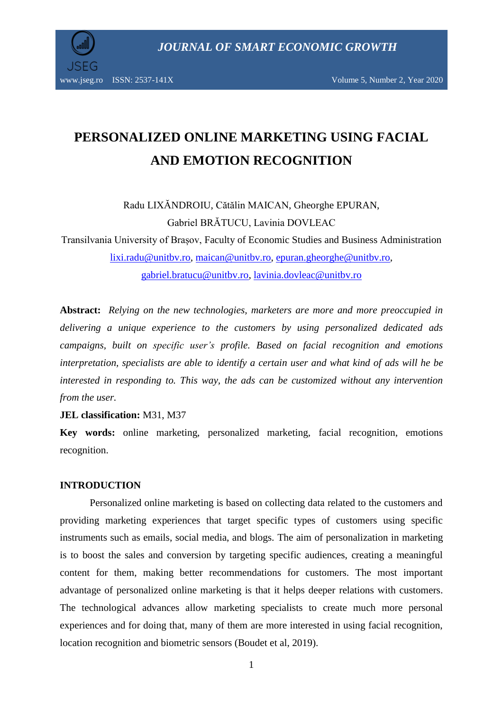

www.jseg.ro ISSN: 2537-141X Volume 5, Number 2, Year 2020

# **PERSONALIZED ONLINE MARKETING USING FACIAL AND EMOTION RECOGNITION**

Radu LIXĂNDROIU, Cătălin MAICAN, Gheorghe EPURAN, Gabriel BRĂTUCU, Lavinia DOVLEAC

Transilvania University of Brașov, Faculty of Economic Studies and Business Administration [lixi.radu@unitbv.ro,](mailto:lixi.radu@unitbv.ro) [maican@unitbv.ro,](mailto:maican@unitbv.ro) [epuran.gheorghe@unitbv.ro,](mailto:epuran.gheorghe@unitbv.ro) [gabriel.bratucu@unitbv.ro,](mailto:gabriel.bratucu@unitbv.ro) [lavinia.dovleac@unitbv.ro](mailto:lavinia.dovleac@unitbv.ro)

**Abstract:** *Relying on the new technologies, marketers are more and more preoccupied in delivering a unique experience to the customers by using personalized dedicated ads campaigns, built on specific user's profile. Based on facial recognition and emotions interpretation, specialists are able to identify a certain user and what kind of ads will he be interested in responding to. This way, the ads can be customized without any intervention from the user.*

**JEL classification:** M31, M37

**Key words:** online marketing, personalized marketing, facial recognition, emotions recognition.

#### **INTRODUCTION**

Personalized online marketing is based on collecting data related to the customers and providing marketing experiences that target specific types of customers using specific instruments such as emails, social media, and blogs. The aim of personalization in marketing is to boost the sales and conversion by targeting specific audiences, creating a meaningful content for them, making better recommendations for customers. The most important advantage of personalized online marketing is that it helps deeper relations with customers. The technological advances allow marketing specialists to create much more personal experiences and for doing that, many of them are more interested in using facial recognition, location recognition and biometric sensors (Boudet et al, 2019).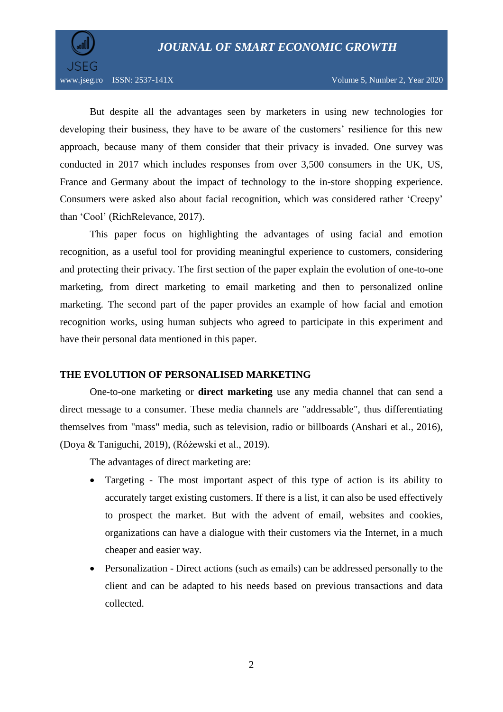

www.jseg.ro ISSN: 2537-141X Volume 5, Number 2, Year 2020

But despite all the advantages seen by marketers in using new technologies for developing their business, they have to be aware of the customers' resilience for this new approach, because many of them consider that their privacy is invaded. One survey was conducted in 2017 which includes responses from over 3,500 consumers in the UK, US, France and Germany about the impact of technology to the in-store shopping experience. Consumers were asked also about facial recognition, which was considered rather 'Creepy' than 'Cool' (RichRelevance, 2017).

This paper focus on highlighting the advantages of using facial and emotion recognition, as a useful tool for providing meaningful experience to customers, considering and protecting their privacy. The first section of the paper explain the evolution of one-to-one marketing, from direct marketing to email marketing and then to personalized online marketing. The second part of the paper provides an example of how facial and emotion recognition works, using human subjects who agreed to participate in this experiment and have their personal data mentioned in this paper.

### **THE EVOLUTION OF PERSONALISED MARKETING**

One-to-one marketing or **direct marketing** use any media channel that can send a direct message to a consumer. These media channels are "addressable", thus differentiating themselves from "mass" media, such as television, radio or billboards (Anshari et al., 2016), (Doya & Taniguchi, 2019), (Różewski et al., 2019).

The advantages of direct marketing are:

- Targeting The most important aspect of this type of action is its ability to accurately target existing customers. If there is a list, it can also be used effectively to prospect the market. But with the advent of email, websites and cookies, organizations can have a dialogue with their customers via the Internet, in a much cheaper and easier way.
- Personalization Direct actions (such as emails) can be addressed personally to the client and can be adapted to his needs based on previous transactions and data collected.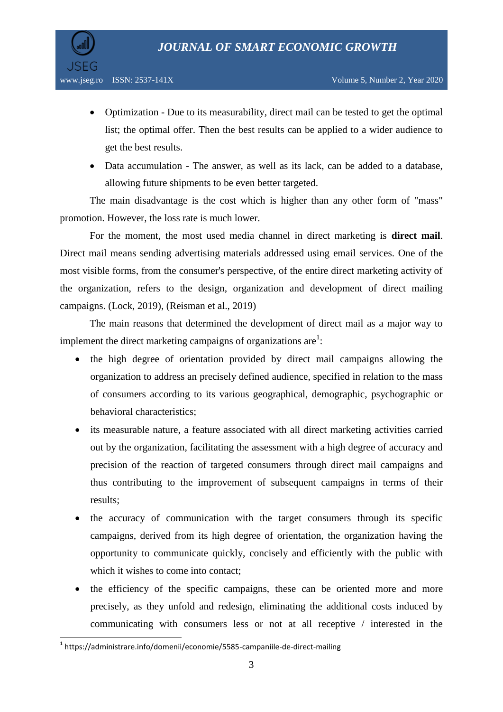

- Optimization Due to its measurability, direct mail can be tested to get the optimal list; the optimal offer. Then the best results can be applied to a wider audience to get the best results.
- Data accumulation The answer, as well as its lack, can be added to a database, allowing future shipments to be even better targeted.

The main disadvantage is the cost which is higher than any other form of "mass" promotion. However, the loss rate is much lower.

For the moment, the most used media channel in direct marketing is **direct mail**. Direct mail means sending advertising materials addressed using email services. One of the most visible forms, from the consumer's perspective, of the entire direct marketing activity of the organization, refers to the design, organization and development of direct mailing campaigns. (Lock, 2019), (Reisman et al., 2019)

The main reasons that determined the development of direct mail as a major way to implement the direct marketing campaigns of organizations are<sup>1</sup>:

- the high degree of orientation provided by direct mail campaigns allowing the organization to address an precisely defined audience, specified in relation to the mass of consumers according to its various geographical, demographic, psychographic or behavioral characteristics;
- its measurable nature, a feature associated with all direct marketing activities carried out by the organization, facilitating the assessment with a high degree of accuracy and precision of the reaction of targeted consumers through direct mail campaigns and thus contributing to the improvement of subsequent campaigns in terms of their results;
- the accuracy of communication with the target consumers through its specific campaigns, derived from its high degree of orientation, the organization having the opportunity to communicate quickly, concisely and efficiently with the public with which it wishes to come into contact:
- the efficiency of the specific campaigns, these can be oriented more and more precisely, as they unfold and redesign, eliminating the additional costs induced by communicating with consumers less or not at all receptive / interested in the

 $\overline{\phantom{a}}$ 

 $^{1}$  https://administrare.info/domenii/economie/5585-campaniile-de-direct-mailing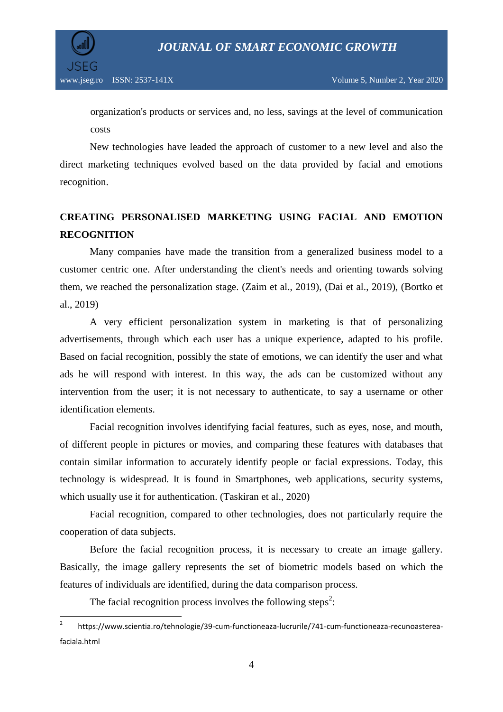

organization's products or services and, no less, savings at the level of communication costs

New technologies have leaded the approach of customer to a new level and also the direct marketing techniques evolved based on the data provided by facial and emotions recognition.

## **CREATING PERSONALISED MARKETING USING FACIAL AND EMOTION RECOGNITION**

Many companies have made the transition from a generalized business model to a customer centric one. After understanding the client's needs and orienting towards solving them, we reached the personalization stage. (Zaim et al., 2019), (Dai et al., 2019), (Bortko et al., 2019)

A very efficient personalization system in marketing is that of personalizing advertisements, through which each user has a unique experience, adapted to his profile. Based on facial recognition, possibly the state of emotions, we can identify the user and what ads he will respond with interest. In this way, the ads can be customized without any intervention from the user; it is not necessary to authenticate, to say a username or other identification elements.

Facial recognition involves identifying facial features, such as eyes, nose, and mouth, of different people in pictures or movies, and comparing these features with databases that contain similar information to accurately identify people or facial expressions. Today, this technology is widespread. It is found in Smartphones, web applications, security systems, which usually use it for authentication. (Taskiran et al., 2020)

Facial recognition, compared to other technologies, does not particularly require the cooperation of data subjects.

Before the facial recognition process, it is necessary to create an image gallery. Basically, the image gallery represents the set of biometric models based on which the features of individuals are identified, during the data comparison process.

The facial recognition process involves the following steps<sup>2</sup>:

 $\overline{\phantom{a}}$ 2 https://www.scientia.ro/tehnologie/39-cum-functioneaza-lucrurile/741-cum-functioneaza-recunoastereafaciala.html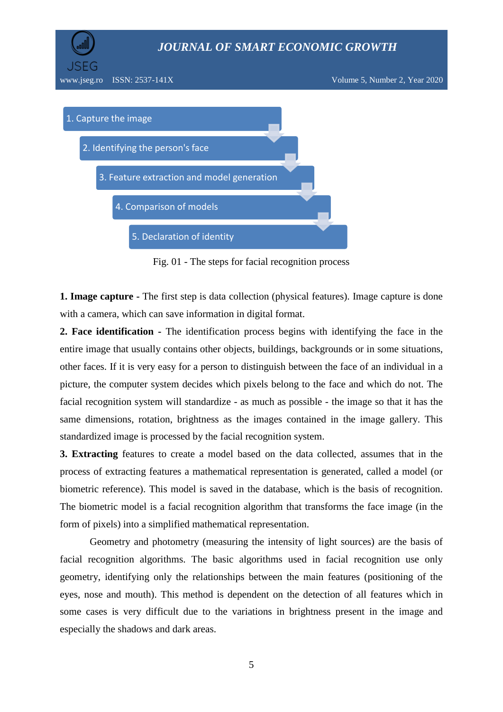

Fig. 01 - The steps for facial recognition process

5. Declaration of identity

**1. Image capture -** The first step is data collection (physical features). Image capture is done with a camera, which can save information in digital format.

**2. Face identification -** The identification process begins with identifying the face in the entire image that usually contains other objects, buildings, backgrounds or in some situations, other faces. If it is very easy for a person to distinguish between the face of an individual in a picture, the computer system decides which pixels belong to the face and which do not. The facial recognition system will standardize - as much as possible - the image so that it has the same dimensions, rotation, brightness as the images contained in the image gallery. This standardized image is processed by the facial recognition system.

**3. Extracting** features to create a model based on the data collected, assumes that in the process of extracting features a mathematical representation is generated, called a model (or biometric reference). This model is saved in the database, which is the basis of recognition. The biometric model is a facial recognition algorithm that transforms the face image (in the form of pixels) into a simplified mathematical representation.

Geometry and photometry (measuring the intensity of light sources) are the basis of facial recognition algorithms. The basic algorithms used in facial recognition use only geometry, identifying only the relationships between the main features (positioning of the eyes, nose and mouth). This method is dependent on the detection of all features which in some cases is very difficult due to the variations in brightness present in the image and especially the shadows and dark areas.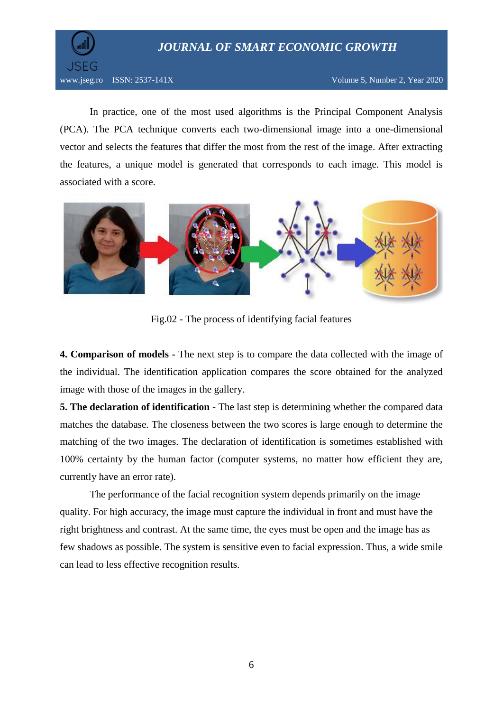## *JOURNAL OF SMART ECONOMIC GROWTH*



In practice, one of the most used algorithms is the Principal Component Analysis (PCA). The PCA technique converts each two-dimensional image into a one-dimensional vector and selects the features that differ the most from the rest of the image. After extracting the features, a unique model is generated that corresponds to each image. This model is associated with a score.



Fig.02 - The process of identifying facial features

**4. Comparison of models -** The next step is to compare the data collected with the image of the individual. The identification application compares the score obtained for the analyzed image with those of the images in the gallery.

**5. The declaration of identification** - The last step is determining whether the compared data matches the database. The closeness between the two scores is large enough to determine the matching of the two images. The declaration of identification is sometimes established with 100% certainty by the human factor (computer systems, no matter how efficient they are, currently have an error rate).

The performance of the facial recognition system depends primarily on the image quality. For high accuracy, the image must capture the individual in front and must have the right brightness and contrast. At the same time, the eyes must be open and the image has as few shadows as possible. The system is sensitive even to facial expression. Thus, a wide smile can lead to less effective recognition results.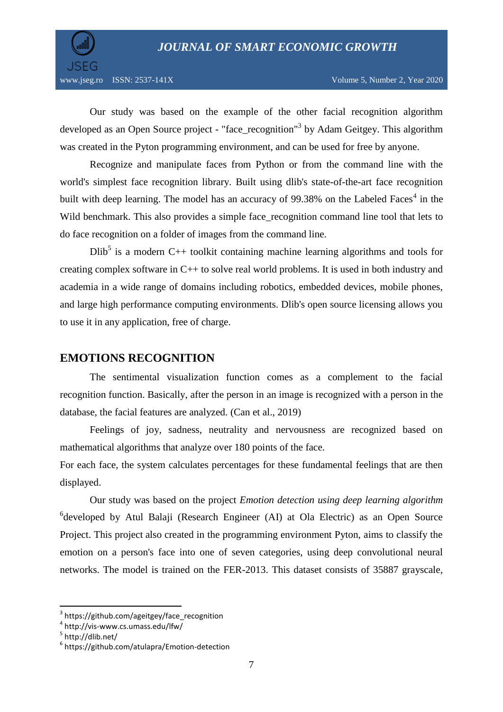

Our study was based on the example of the other facial recognition algorithm developed as an Open Source project - "face\_recognition"<sup>3</sup> by Adam Geitgey. This algorithm was created in the Pyton programming environment, and can be used for free by anyone.

Recognize and manipulate faces from Python or from the command line with the world's simplest face recognition library. Built using dlib's state-of-the-art face recognition built with deep learning. The model has an accuracy of 99.38% on the Labeled Faces<sup>4</sup> in the Wild benchmark. This also provides a simple face\_recognition command line tool that lets to do face recognition on a folder of images from the command line.

 $Dlib<sup>5</sup>$  is a modern C++ toolkit containing machine learning algorithms and tools for creating complex software in C++ to solve real world problems. It is used in both industry and academia in a wide range of domains including robotics, embedded devices, mobile phones, and large high performance computing environments. Dlib's open source licensing allows you to use it in any application, free of charge.

## **EMOTIONS RECOGNITION**

The sentimental visualization function comes as a complement to the facial recognition function. Basically, after the person in an image is recognized with a person in the database, the facial features are analyzed. (Can et al., 2019)

Feelings of joy, sadness, neutrality and nervousness are recognized based on mathematical algorithms that analyze over 180 points of the face.

For each face, the system calculates percentages for these fundamental feelings that are then displayed.

Our study was based on the project *Emotion detection using deep learning algorithm* <sup>6</sup>developed by Atul Balaji (Research Engineer (AI) at Ola Electric) as an Open Source Project. This project also created in the programming environment Pyton, aims to classify the emotion on a person's face into one of seven categories, using deep convolutional neural networks. The model is trained on the FER-2013. This dataset consists of 35887 grayscale,

 $\overline{\phantom{a}}$ 

<sup>3</sup> https://github.com/ageitgey/face\_recognition

<sup>4</sup> http://vis-www.cs.umass.edu/lfw/

<sup>&</sup>lt;sup>5</sup> http://dlib.net/

<sup>6</sup> https://github.com/atulapra/Emotion-detection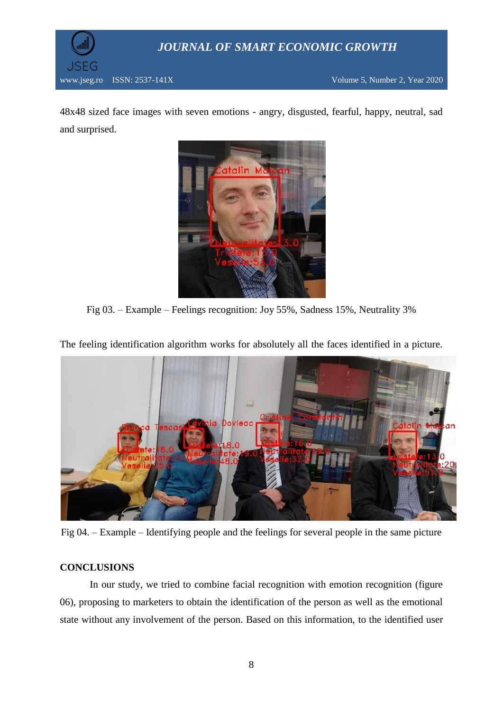

48x48 sized face images with seven emotions - angry, disgusted, fearful, happy, neutral, sad and surprised.



Fig 03. – Example – Feelings recognition: Joy 55%, Sadness 15%, Neutrality 3%

The feeling identification algorithm works for absolutely all the faces identified in a picture.



Fig 04. – Example – Identifying people and the feelings for several people in the same picture

#### **CONCLUSIONS**

In our study, we tried to combine facial recognition with emotion recognition (figure 06), proposing to marketers to obtain the identification of the person as well as the emotional state without any involvement of the person. Based on this information, to the identified user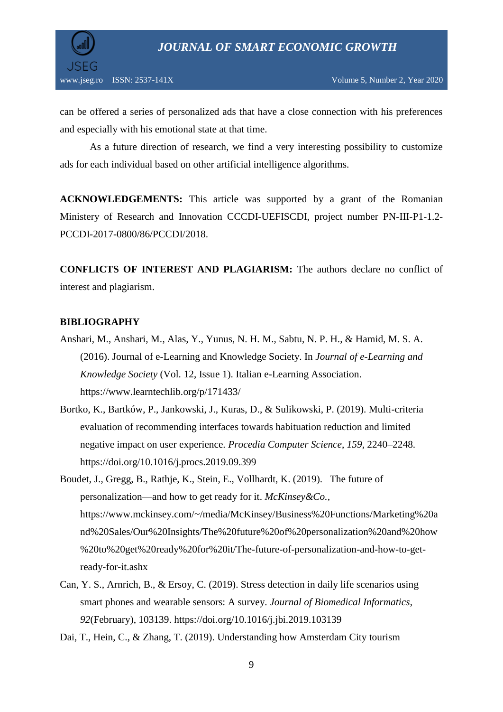

can be offered a series of personalized ads that have a close connection with his preferences and especially with his emotional state at that time.

As a future direction of research, we find a very interesting possibility to customize ads for each individual based on other artificial intelligence algorithms.

**ACKNOWLEDGEMENTS:** This article was supported by a grant of the Romanian Ministery of Research and Innovation CCCDI-UEFISCDI, project number PN-III-P1-1.2- PCCDI-2017-0800/86/PCCDI/2018.

**CONFLICTS OF INTEREST AND PLAGIARISM:** The authors declare no conflict of interest and plagiarism.

## **BIBLIOGRAPHY**

- Anshari, M., Anshari, M., Alas, Y., Yunus, N. H. M., Sabtu, N. P. H., & Hamid, M. S. A. (2016). Journal of e-Learning and Knowledge Society. In *Journal of e-Learning and Knowledge Society* (Vol. 12, Issue 1). Italian e-Learning Association. https://www.learntechlib.org/p/171433/
- Bortko, K., Bartków, P., Jankowski, J., Kuras, D., & Sulikowski, P. (2019). Multi-criteria evaluation of recommending interfaces towards habituation reduction and limited negative impact on user experience. *Procedia Computer Science*, *159*, 2240–2248. https://doi.org/10.1016/j.procs.2019.09.399
- Boudet, J., Gregg, B., Rathje, K., Stein, E., Vollhardt, K. (2019). The future of personalization—and how to get ready for it. *McKinsey&Co.,*  https://www.mckinsey.com/~/media/McKinsey/Business%20Functions/Marketing%20a nd%20Sales/Our%20Insights/The%20future%20of%20personalization%20and%20how %20to%20get%20ready%20for%20it/The-future-of-personalization-and-how-to-getready-for-it.ashx
- Can, Y. S., Arnrich, B., & Ersoy, C. (2019). Stress detection in daily life scenarios using smart phones and wearable sensors: A survey. *Journal of Biomedical Informatics*, *92*(February), 103139. https://doi.org/10.1016/j.jbi.2019.103139
- Dai, T., Hein, C., & Zhang, T. (2019). Understanding how Amsterdam City tourism